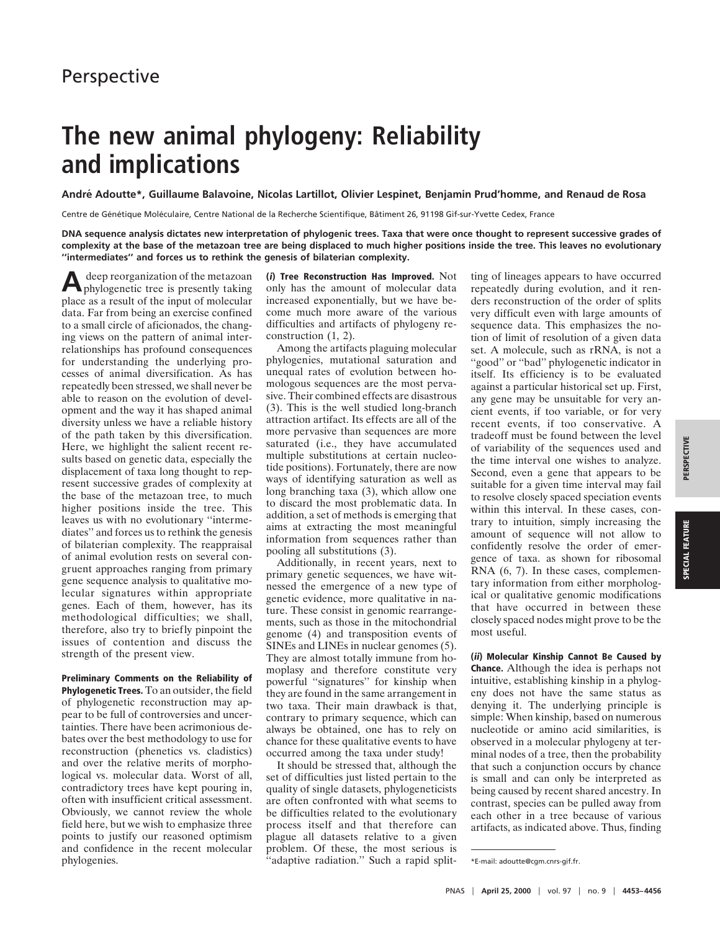## **The new animal phylogeny: Reliability and implications**

**Andre´ Adoutte\*, Guillaume Balavoine, Nicolas Lartillot, Olivier Lespinet, Benjamin Prud'homme, and Renaud de Rosa**

Centre de Génétique Moléculaire, Centre National de la Recherche Scientifique, Bâtiment 26, 91198 Gif-sur-Yvette Cedex, France

**DNA sequence analysis dictates new interpretation of phylogenic trees. Taxa that were once thought to represent successive grades of complexity at the base of the metazoan tree are being displaced to much higher positions inside the tree. This leaves no evolutionary ''intermediates'' and forces us to rethink the genesis of bilaterian complexity.**

**A**deep reorganization of the metazoan phylogenetic tree is presently taking place as a result of the input of molecular data. Far from being an exercise confined to a small circle of aficionados, the changing views on the pattern of animal interrelationships has profound consequences for understanding the underlying processes of animal diversification. As has repeatedly been stressed, we shall never be able to reason on the evolution of development and the way it has shaped animal diversity unless we have a reliable history of the path taken by this diversification. Here, we highlight the salient recent results based on genetic data, especially the displacement of taxa long thought to represent successive grades of complexity at the base of the metazoan tree, to much higher positions inside the tree. This leaves us with no evolutionary ''intermediates'' and forces us to rethink the genesis of bilaterian complexity. The reappraisal of animal evolution rests on several congruent approaches ranging from primary gene sequence analysis to qualitative molecular signatures within appropriate genes. Each of them, however, has its methodological difficulties; we shall, therefore, also try to briefly pinpoint the issues of contention and discuss the strength of the present view.

**Preliminary Comments on the Reliability of Phylogenetic Trees.** To an outsider, the field of phylogenetic reconstruction may appear to be full of controversies and uncertainties. There have been acrimonious debates over the best methodology to use for reconstruction (phenetics vs. cladistics) and over the relative merits of morphological vs. molecular data. Worst of all, contradictory trees have kept pouring in, often with insufficient critical assessment. Obviously, we cannot review the whole field here, but we wish to emphasize three points to justify our reasoned optimism and confidence in the recent molecular phylogenies.

**(i) Tree Reconstruction Has Improved.** Not only has the amount of molecular data increased exponentially, but we have become much more aware of the various difficulties and artifacts of phylogeny reconstruction (1, 2).

Among the artifacts plaguing molecular phylogenies, mutational saturation and unequal rates of evolution between homologous sequences are the most pervasive. Their combined effects are disastrous (3). This is the well studied long-branch attraction artifact. Its effects are all of the more pervasive than sequences are more saturated (i.e., they have accumulated multiple substitutions at certain nucleotide positions). Fortunately, there are now ways of identifying saturation as well as long branching taxa (3), which allow one to discard the most problematic data. In addition, a set of methods is emerging that aims at extracting the most meaningful information from sequences rather than pooling all substitutions (3).

Additionally, in recent years, next to primary genetic sequences, we have witnessed the emergence of a new type of genetic evidence, more qualitative in nature. These consist in genomic rearrangements, such as those in the mitochondrial genome (4) and transposition events of SINEs and LINEs in nuclear genomes (5). They are almost totally immune from homoplasy and therefore constitute very powerful ''signatures'' for kinship when they are found in the same arrangement in two taxa. Their main drawback is that, contrary to primary sequence, which can always be obtained, one has to rely on chance for these qualitative events to have occurred among the taxa under study!

It should be stressed that, although the set of difficulties just listed pertain to the quality of single datasets, phylogeneticists are often confronted with what seems to be difficulties related to the evolutionary process itself and that therefore can plague all datasets relative to a given problem. Of these, the most serious is <sup>2</sup>adaptive radiation." Such a rapid splitting of lineages appears to have occurred repeatedly during evolution, and it renders reconstruction of the order of splits very difficult even with large amounts of sequence data. This emphasizes the notion of limit of resolution of a given data set. A molecule, such as rRNA, is not a ''good'' or ''bad'' phylogenetic indicator in itself. Its efficiency is to be evaluated against a particular historical set up. First, any gene may be unsuitable for very ancient events, if too variable, or for very recent events, if too conservative. A tradeoff must be found between the level of variability of the sequences used and the time interval one wishes to analyze. Second, even a gene that appears to be suitable for a given time interval may fail to resolve closely spaced speciation events within this interval. In these cases, contrary to intuition, simply increasing the amount of sequence will not allow to confidently resolve the order of emergence of taxa. as shown for ribosomal RNA (6, 7). In these cases, complementary information from either morphological or qualitative genomic modifications that have occurred in between these closely spaced nodes might prove to be the most useful.

**(ii) Molecular Kinship Cannot Be Caused by Chance.** Although the idea is perhaps not intuitive, establishing kinship in a phylogeny does not have the same status as denying it. The underlying principle is simple: When kinship, based on numerous nucleotide or amino acid similarities, is observed in a molecular phylogeny at terminal nodes of a tree, then the probability that such a conjunction occurs by chance is small and can only be interpreted as being caused by recent shared ancestry. In contrast, species can be pulled away from each other in a tree because of various artifacts, as indicated above. Thus, finding

<sup>\*</sup>E-mail: adoutte@cgm.cnrs-gif.fr.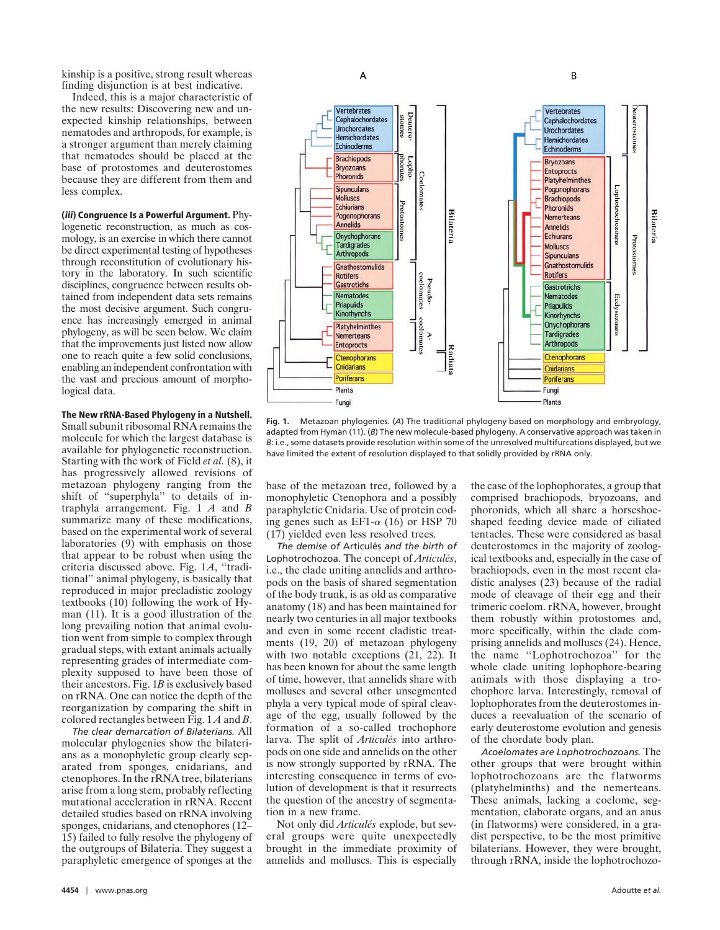kinship is a positive, strong result whereas finding disjunction is at best indicative.

Indeed, this is a major characteristic of the new results: Discovering new and unexpected kinship relationships, between nematodes and arthropods, for example, is a stronger argument than merely claiming that nematodes should be placed at the base of protostomes and deuterostomes because they are different from them and less complex.

**(iii) Congruence Is a Powerful Argument.** Phylogenetic reconstruction, as much as cosmology, is an exercise in which there cannot be direct experimental testing of hypotheses through reconstitution of evolutionary history in the laboratory. In such scientific disciplines, congruence between results obtained from independent data sets remains the most decisive argument. Such congruence has increasingly emerged in animal phylogeny, as will be seen below. We claim that the improvements just listed now allow one to reach quite a few solid conclusions, enabling an independent confrontation with the vast and precious amount of morphological data.

## **The New rRNA-Based Phylogeny in a Nutshell.**

Small subunit ribosomal RNA remains the molecule for which the largest database is available for phylogenetic reconstruction. Starting with the work of Field *et al.* (8), it has progressively allowed revisions of metazoan phylogeny ranging from the shift of ''superphyla'' to details of intraphyla arrangement. Fig. 1 *A* and *B* summarize many of these modifications, based on the experimental work of several laboratories  $(9)$  with emphasis on those that appear to be robust when using the criteria discussed above. Fig. 1*A*, ''traditional'' animal phylogeny, is basically that reproduced in major precladistic zoology textbooks (10) following the work of Hyman (11). It is a good illustration of the long prevailing notion that animal evolution went from simple to complex through gradual steps, with extant animals actually representing grades of intermediate complexity supposed to have been those of their ancestors. Fig. 1*B* is exclusively based on rRNA. One can notice the depth of the reorganization by comparing the shift in colored rectangles between Fig. 1 *A* and *B*.

*The clear demarcation of Bilaterians.* All molecular phylogenies show the bilaterians as a monophyletic group clearly separated from sponges, cnidarians, and ctenophores. In the rRNA tree, bilaterians arise from a long stem, probably reflecting mutational acceleration in rRNA. Recent detailed studies based on rRNA involving sponges, cnidarians, and ctenophores (12– 15) failed to fully resolve the phylogeny of the outgroups of Bilateria. They suggest a paraphyletic emergence of sponges at the



**Fig. 1.** Metazoan phylogenies. (*A*) The traditional phylogeny based on morphology and embryology, adapted from Hyman (11). (*B*) The new molecule-based phylogeny. A conservative approach was taken in *B*: i.e., some datasets provide resolution within some of the unresolved multifurcations displayed, but we have limited the extent of resolution displayed to that solidly provided by rRNA only.

base of the metazoan tree, followed by a monophyletic Ctenophora and a possibly paraphyletic Cnidaria. Use of protein coding genes such as EF1- $\alpha$  (16) or HSP 70 (17) yielded even less resolved trees.

*The demise of* Articule´s *and the birth of* Lophotrochozoa. The concept of *Articulés*, i.e., the clade uniting annelids and arthropods on the basis of shared segmentation of the body trunk, is as old as comparative anatomy (18) and has been maintained for nearly two centuries in all major textbooks and even in some recent cladistic treatments (19, 20) of metazoan phylogeny with two notable exceptions (21, 22). It has been known for about the same length of time, however, that annelids share with molluscs and several other unsegmented phyla a very typical mode of spiral cleavage of the egg, usually followed by the formation of a so-called trochophore larva. The split of *Articulés* into arthropods on one side and annelids on the other is now strongly supported by rRNA. The interesting consequence in terms of evolution of development is that it resurrects the question of the ancestry of segmentation in a new frame.

Not only did Articulés explode, but several groups were quite unexpectedly brought in the immediate proximity of annelids and molluscs. This is especially the case of the lophophorates, a group that comprised brachiopods, bryozoans, and phoronids, which all share a horseshoeshaped feeding device made of ciliated tentacles. These were considered as basal deuterostomes in the majority of zoological textbooks and, especially in the case of brachiopods, even in the most recent cladistic analyses (23) because of the radial mode of cleavage of their egg and their trimeric coelom. rRNA, however, brought them robustly within protostomes and, more specifically, within the clade comprising annelids and molluscs (24). Hence, the name ''Lophotrochozoa'' for the whole clade uniting lophophore-bearing animals with those displaying a trochophore larva. Interestingly, removal of lophophorates from the deuterostomes induces a reevaluation of the scenario of early deuterostome evolution and genesis of the chordate body plan.

*Acoelomates are Lophotrochozoans.* The other groups that were brought within lophotrochozoans are the flatworms (platyhelminths) and the nemerteans. These animals, lacking a coelome, segmentation, elaborate organs, and an anus (in flatworms) were considered, in a gradist perspective, to be the most primitive bilaterians. However, they were brought, through rRNA, inside the lophotrochozo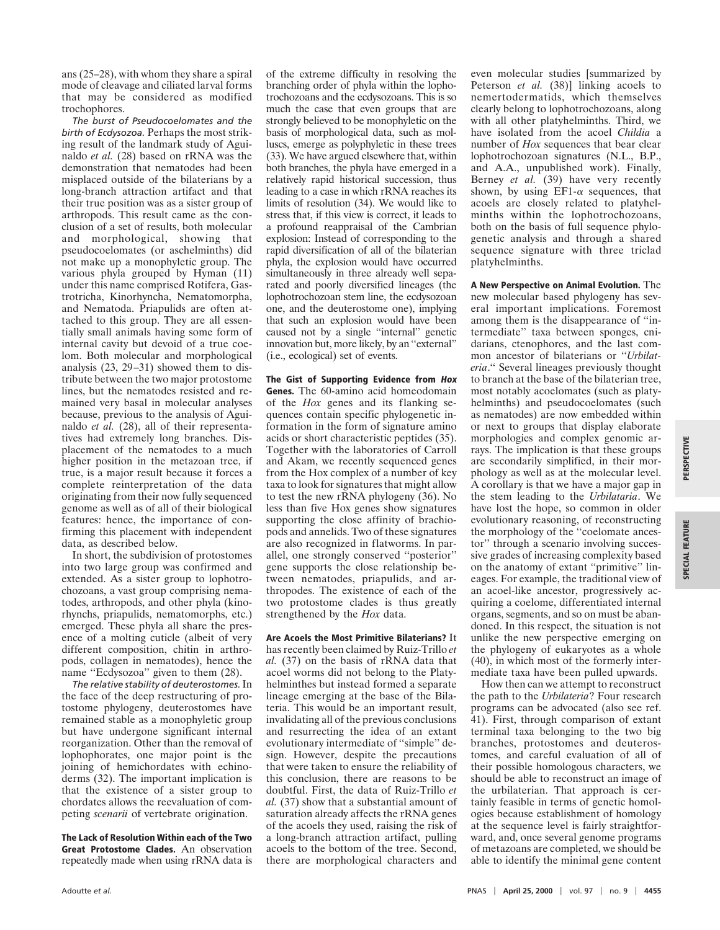ans (25–28), with whom they share a spiral mode of cleavage and ciliated larval forms that may be considered as modified trochophores.

*The burst of Pseudocoelomates and the birth of Ecdysozoa.* Perhaps the most striking result of the landmark study of Aguinaldo *et al.* (28) based on rRNA was the demonstration that nematodes had been misplaced outside of the bilaterians by a long-branch attraction artifact and that their true position was as a sister group of arthropods. This result came as the conclusion of a set of results, both molecular and morphological, showing that pseudocoelomates (or aschelminths) did not make up a monophyletic group. The various phyla grouped by Hyman (11) under this name comprised Rotifera, Gastrotricha, Kinorhyncha, Nematomorpha, and Nematoda. Priapulids are often attached to this group. They are all essentially small animals having some form of internal cavity but devoid of a true coelom. Both molecular and morphological analysis (23, 29–31) showed them to distribute between the two major protostome lines, but the nematodes resisted and remained very basal in molecular analyses because, previous to the analysis of Aguinaldo *et al.* (28), all of their representatives had extremely long branches. Displacement of the nematodes to a much higher position in the metazoan tree, if true, is a major result because it forces a complete reinterpretation of the data originating from their now fully sequenced genome as well as of all of their biological features: hence, the importance of confirming this placement with independent data, as described below.

In short, the subdivision of protostomes into two large group was confirmed and extended. As a sister group to lophotrochozoans, a vast group comprising nematodes, arthropods, and other phyla (kinorhynchs, priapulids, nematomorphs, etc.) emerged. These phyla all share the presence of a molting cuticle (albeit of very different composition, chitin in arthropods, collagen in nematodes), hence the name "Ecdysozoa" given to them (28).

*The relative stability of deuterostomes.*In the face of the deep restructuring of protostome phylogeny, deuterostomes have remained stable as a monophyletic group but have undergone significant internal reorganization. Other than the removal of lophophorates, one major point is the joining of hemichordates with echinoderms (32). The important implication is that the existence of a sister group to chordates allows the reevaluation of competing *scenarii* of vertebrate origination.

**The Lack of Resolution Within each of the Two Great Protostome Clades.** An observation repeatedly made when using rRNA data is

of the extreme difficulty in resolving the branching order of phyla within the lophotrochozoans and the ecdysozoans. This is so much the case that even groups that are strongly believed to be monophyletic on the basis of morphological data, such as molluscs, emerge as polyphyletic in these trees (33). We have argued elsewhere that, within both branches, the phyla have emerged in a relatively rapid historical succession, thus leading to a case in which rRNA reaches its limits of resolution (34). We would like to stress that, if this view is correct, it leads to a profound reappraisal of the Cambrian explosion: Instead of corresponding to the rapid diversification of all of the bilaterian phyla, the explosion would have occurred simultaneously in three already well separated and poorly diversified lineages (the lophotrochozoan stem line, the ecdysozoan one, and the deuterostome one), implying that such an explosion would have been caused not by a single ''internal'' genetic innovation but, more likely, by an ''external'' (i.e., ecological) set of events.

**The Gist of Supporting Evidence from Hox Genes.** The 60-amino acid homeodomain of the *Hox* genes and its flanking sequences contain specific phylogenetic information in the form of signature amino acids or short characteristic peptides (35). Together with the laboratories of Carroll and Akam, we recently sequenced genes from the Hox complex of a number of key taxa to look for signatures that might allow to test the new rRNA phylogeny (36). No less than five Hox genes show signatures supporting the close affinity of brachiopods and annelids. Two of these signatures are also recognized in flatworms. In parallel, one strongly conserved ''posterior'' gene supports the close relationship between nematodes, priapulids, and arthropodes. The existence of each of the two protostome clades is thus greatly strengthened by the *Hox* data.

**Are Acoels the Most Primitive Bilaterians?** It has recently been claimed by Ruiz-Trillo *et al.* (37) on the basis of rRNA data that acoel worms did not belong to the Platyhelminthes but instead formed a separate lineage emerging at the base of the Bilateria. This would be an important result, invalidating all of the previous conclusions and resurrecting the idea of an extant evolutionary intermediate of ''simple'' design. However, despite the precautions that were taken to ensure the reliability of this conclusion, there are reasons to be doubtful. First, the data of Ruiz-Trillo *et al.* (37) show that a substantial amount of saturation already affects the rRNA genes of the acoels they used, raising the risk of a long-branch attraction artifact, pulling acoels to the bottom of the tree. Second, there are morphological characters and even molecular studies [summarized by Peterson *et al.* (38)] linking acoels to nemertodermatids, which themselves clearly belong to lophotrochozoans, along with all other platyhelminths. Third, we have isolated from the acoel *Childia* a number of *Hox* sequences that bear clear lophotrochozoan signatures (N.L., B.P., and A.A., unpublished work). Finally, Berney *et al.* (39) have very recently shown, by using  $E_{\text{F1-}\alpha}$  sequences, that acoels are closely related to platyhelminths within the lophotrochozoans, both on the basis of full sequence phylogenetic analysis and through a shared sequence signature with three triclad platyhelminths.

**A New Perspective on Animal Evolution.** The new molecular based phylogeny has several important implications. Foremost among them is the disappearance of ''intermediate'' taxa between sponges, cnidarians, ctenophores, and the last common ancestor of bilaterians or ''*Urbilateria*.'' Several lineages previously thought to branch at the base of the bilaterian tree, most notably acoelomates (such as platyhelminths) and pseudocoelomates (such as nematodes) are now embedded within or next to groups that display elaborate morphologies and complex genomic arrays. The implication is that these groups are secondarily simplified, in their morphology as well as at the molecular level. A corollary is that we have a major gap in the stem leading to the *Urbilataria*. We have lost the hope, so common in older evolutionary reasoning, of reconstructing the morphology of the ''coelomate ancestor'' through a scenario involving successive grades of increasing complexity based on the anatomy of extant ''primitive'' lineages. For example, the traditional view of an acoel-like ancestor, progressively acquiring a coelome, differentiated internal organs, segments, and so on must be abandoned. In this respect, the situation is not unlike the new perspective emerging on the phylogeny of eukaryotes as a whole (40), in which most of the formerly intermediate taxa have been pulled upwards.

How then can we attempt to reconstruct the path to the *Urbilateria*? Four research programs can be advocated (also see ref. 41). First, through comparison of extant terminal taxa belonging to the two big branches, protostomes and deuterostomes, and careful evaluation of all of their possible homologous characters, we should be able to reconstruct an image of the urbilaterian. That approach is certainly feasible in terms of genetic homologies because establishment of homology at the sequence level is fairly straightforward, and, once several genome programs of metazoans are completed, we should be able to identify the minimal gene content